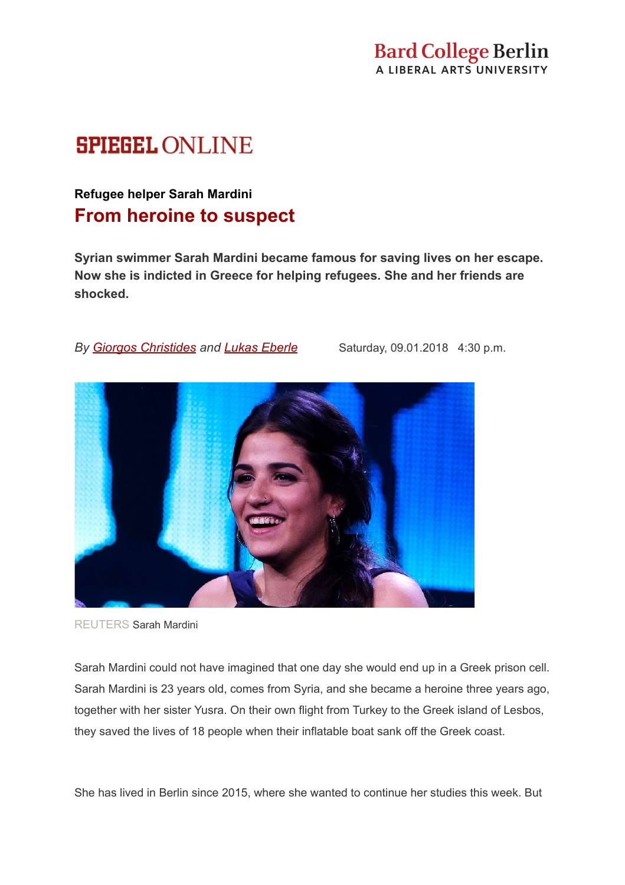# **SPIEGEL ONLINE**

# **Refugee helper Sarah Mardini From heroine to suspect**

**Syrian swimmer Sarah Mardini became famous for saving lives on her escape. Now she is indicted in Greece for helping refugees. She and her friends are shocked.**

*By [Giorgos Christides](http://www.spiegel.de/politik/ausland/griechenland-fluechtlingshelferin-von-der-heldin-zur-verdaechtigen-a-1225920.html#)and [Lukas Eberle](http://www.spiegel.de/politik/ausland/griechenland-fluechtlingshelferin-von-der-heldin-zur-verdaechtigen-a-1225920.html#)* Saturday, 09.01.2018 4:30 p.m.



REUTERS Sarah [Mardini](http://www.spiegel.de/politik/ausland/griechenland-fluechtlingshelferin-von-der-heldin-zur-verdaechtigen-a-1225920.html#)

Sarah Mardini could not have imagined that one day she would end up in a Greek prison cell. Sarah Mardini is 23 years old, comes from Syria, and she became a heroine three years ago, together with her sister Yusra. On their own flight from Turkey to the Greek island of Lesbos, they saved the lives of 18 people when their inflatable boat sank off the Greek coast.

She has lived in Berlin since 2015, where she wanted to continue her studies this week. But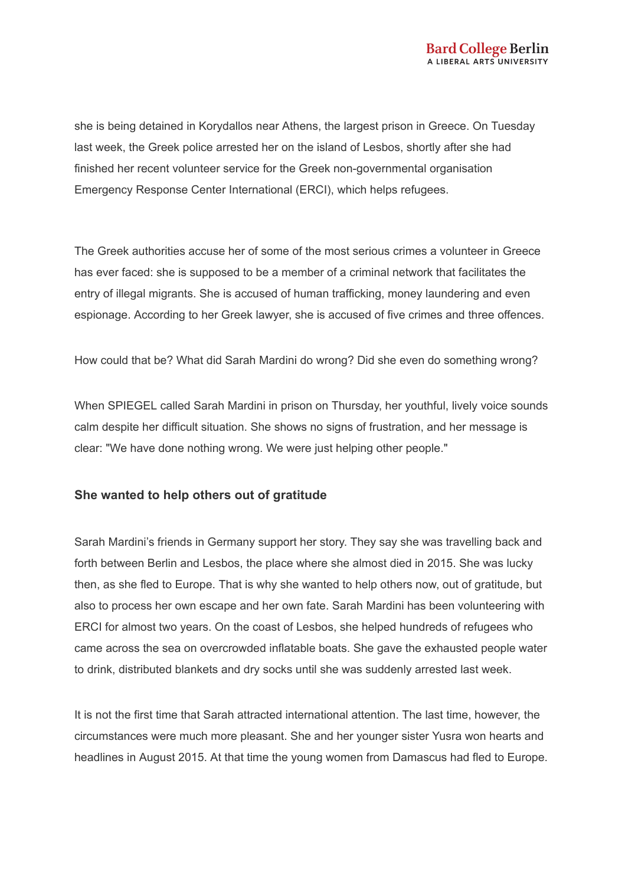she is being detained in Korydallos near Athens, the largest prison in Greece. On Tuesday last week, the Greek police arrested her on the island of Lesbos, shortly after she had finished her recent volunteer service for the Greek non-governmental organisation Emergency Response Center International (ERCI), which helps refugees.

The Greek authorities accuse her of some of the most serious crimes a volunteer in Greece has ever faced: she is supposed to be a member of a criminal network that facilitates the entry of illegal migrants. She is accused of human trafficking, money laundering and even espionage. According to her Greek lawyer, she is accused of five crimes and three offences.

How could that be? What did Sarah Mardini do wrong? Did she even do something wrong?

When SPIEGEL called Sarah Mardini in prison on Thursday, her youthful, lively voice sounds calm despite her difficult situation. She shows no signs of frustration, and her message is clear: "We have done nothing wrong. We were just helping other people."

#### **She wanted to help others out of gratitude**

Sarah Mardini's friends in Germany support her story. They say she was travelling back and forth between Berlin and Lesbos, the place where she almost died in 2015. She was lucky then, as she fled to Europe. That is why she wanted to help others now, out of gratitude, but also to process her own escape and her own fate. Sarah Mardini has been volunteering with ERCI for almost two years. On the coast of Lesbos, she helped hundreds of refugees who came across the sea on overcrowded inflatable boats. She gave the exhausted people water to drink, distributed blankets and dry socks until she was suddenly arrested last week.

It is not the first time that Sarah attracted international attention. The last time, however, the circumstances were much more pleasant. She and her younger sister Yusra won hearts and headlines in August 2015. At that time the young women from Damascus had fled to Europe.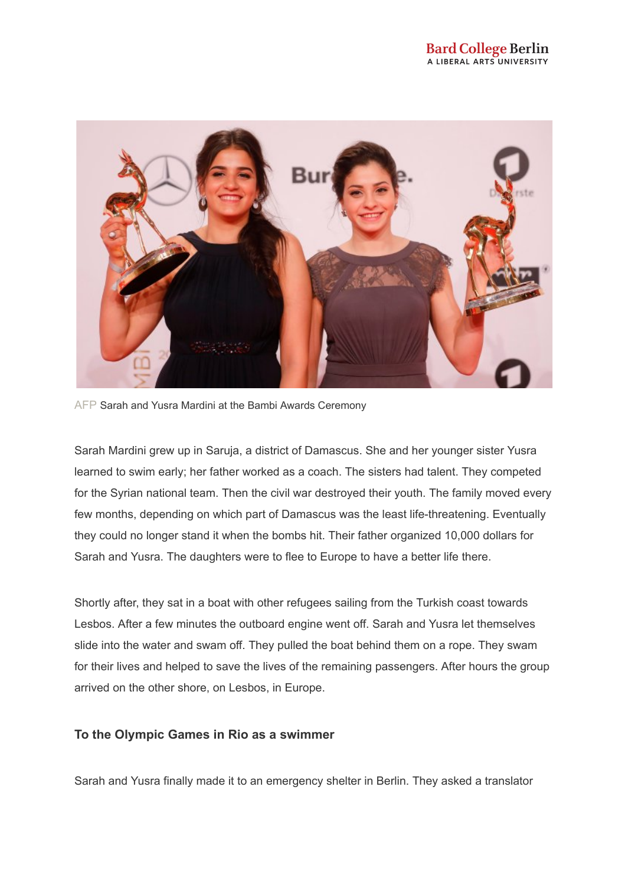

AFP Sarah and Yusra Mardini at the Bambi Awards Ceremony

Sarah Mardini grew up in Saruja, a district of Damascus. She and her younger sister Yusra learned to swim early; her father worked as a coach. The sisters had talent. They competed for the Syrian national team. Then the civil war destroyed their youth. The family moved every few months, depending on which part of Damascus was the least life-threatening. Eventually they could no longer stand it when the bombs hit. Their father organized 10,000 dollars for Sarah and Yusra. The daughters were to flee to Europe to have a better life there.

Shortly after, they sat in a boat with other refugees sailing from the Turkish coast towards Lesbos. After a few minutes the outboard engine went off. Sarah and Yusra let themselves slide into the water and swam off. They pulled the boat behind them on a rope. They swam for their lives and helped to save the lives of the remaining passengers. After hours the group arrived on the other shore, on Lesbos, in Europe.

# **To the Olympic Games in Rio as a swimmer**

Sarah and Yusra finally made it to an emergency shelter in Berlin. They asked a translator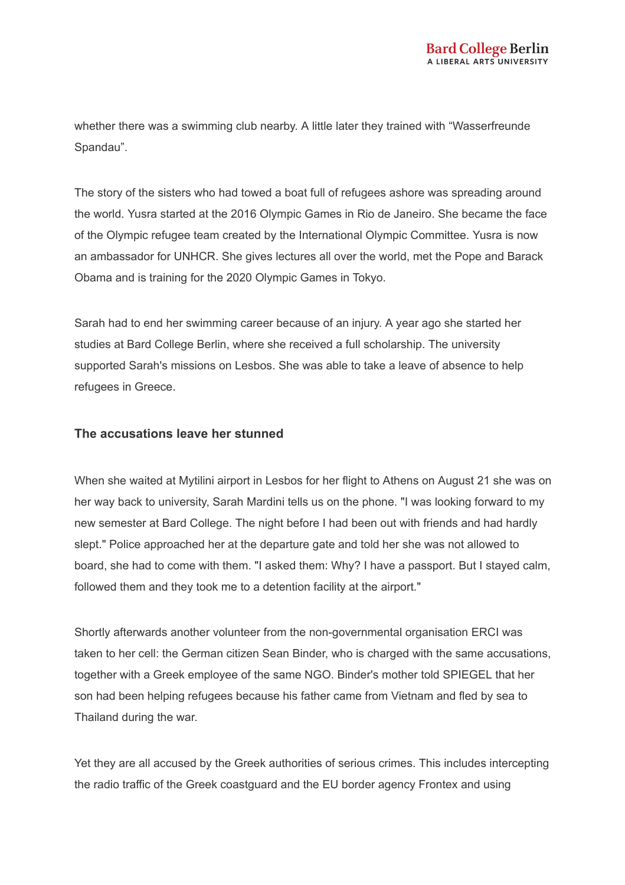whether there was a swimming club nearby. A little later they trained with "Wasserfreunde Spandau".

The story of the sisters who had towed a boat full of refugees ashore was spreading around the world. Yusra started at the 2016 Olympic Games in Rio de Janeiro. She became the face of the Olympic refugee team created by the International Olympic Committee. Yusra is now an ambassador for UNHCR. She gives lectures all over the world, met the Pope and Barack Obama and is training for the 2020 Olympic Games in Tokyo.

Sarah had to end her swimming career because of an injury. A year ago she started her studies at Bard College Berlin, where she received a full scholarship. The university supported Sarah's missions on Lesbos. She was able to take a leave of absence to help refugees in Greece.

#### **The accusations leave her stunned**

When she waited at Mytilini airport in Lesbos for her flight to Athens on August 21 she was on her way back to university, Sarah Mardini tells us on the phone. "I was looking forward to my new semester at Bard College. The night before I had been out with friends and had hardly slept." Police approached her at the departure gate and told her she was not allowed to board, she had to come with them. "I asked them: Why? I have a passport. But I stayed calm, followed them and they took me to a detention facility at the airport."

Shortly afterwards another volunteer from the non-governmental organisation ERCI was taken to her cell: the German citizen Sean Binder, who is charged with the same accusations, together with a Greek employee of the same NGO. Binder's mother told SPIEGEL that her son had been helping refugees because his father came from Vietnam and fled by sea to Thailand during the war.

Yet they are all accused by the Greek authorities of serious crimes. This includes intercepting the radio traffic of the Greek coastguard and the EU border agency Frontex and using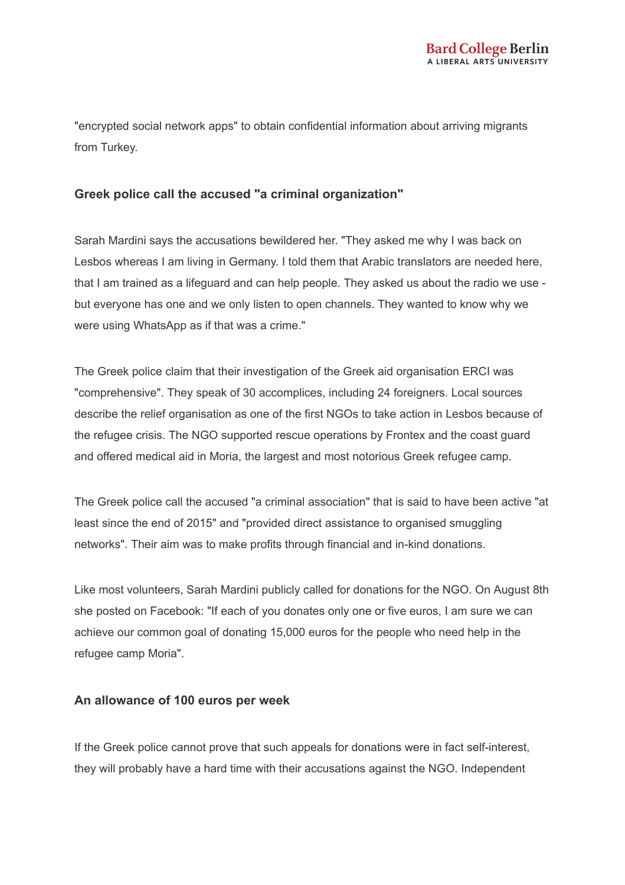"encrypted social network apps" to obtain confidential information about arriving migrants from Turkey.

# **Greek police call the accused "a criminal organization"**

Sarah Mardini says the accusations bewildered her. "They asked me why I was back on Lesbos whereas I am living in Germany. I told them that Arabic translators are needed here, that I am trained as a lifeguard and can help people. They asked us about the radio we use but everyone has one and we only listen to open channels. They wanted to know why we were using WhatsApp as if that was a crime."

The Greek police claim that their investigation of the Greek aid organisation ERCI was "comprehensive". They speak of 30 accomplices, including 24 foreigners. Local sources describe the relief organisation as one of the first NGOs to take action in Lesbos because of the refugee crisis. The NGO supported rescue operations by Frontex and the coast guard and offered medical aid in Moria, the largest and most notorious Greek refugee camp.

The Greek police call the accused "a criminal association" that is said to have been active "at least since the end of 2015" and "provided direct assistance to organised smuggling networks". Their aim was to make profits through financial and in-kind donations.

Like most volunteers, Sarah Mardini publicly called for donations for the NGO. On August 8th she posted on Facebook: "If each of you donates only one or five euros, I am sure we can achieve our common goal of donating 15,000 euros for the people who need help in the refugee camp Moria".

# **An allowance of 100 euros per week**

If the Greek police cannot prove that such appeals for donations were in fact self-interest, they will probably have a hard time with their accusations against the NGO. Independent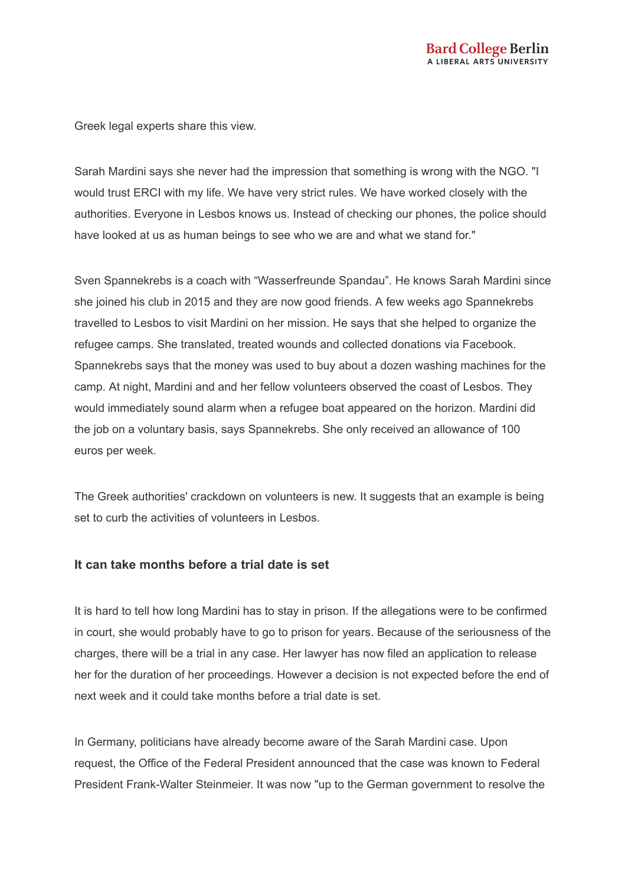Greek legal experts share this view.

Sarah Mardini says she never had the impression that something is wrong with the NGO. "I would trust ERCI with my life. We have very strict rules. We have worked closely with the authorities. Everyone in Lesbos knows us. Instead of checking our phones, the police should have looked at us as human beings to see who we are and what we stand for."

Sven Spannekrebs is a coach with "Wasserfreunde Spandau". He knows Sarah Mardini since she joined his club in 2015 and they are now good friends. A few weeks ago Spannekrebs travelled to Lesbos to visit Mardini on her mission. He says that she helped to organize the refugee camps. She translated, treated wounds and collected donations via Facebook. Spannekrebs says that the money was used to buy about a dozen washing machines for the camp. At night, Mardini and and her fellow volunteers observed the coast of Lesbos. They would immediately sound alarm when a refugee boat appeared on the horizon. Mardini did the job on a voluntary basis, says Spannekrebs. She only received an allowance of 100 euros per week.

The Greek authorities' crackdown on volunteers is new. It suggests that an example is being set to curb the activities of volunteers in Lesbos.

#### **It can take months before a trial date is set**

It is hard to tell how long Mardini has to stay in prison. If the allegations were to be confirmed in court, she would probably have to go to prison for years. Because of the seriousness of the charges, there will be a trial in any case. Her lawyer has now filed an application to release her for the duration of her proceedings. However a decision is not expected before the end of next week and it could take months before a trial date is set.

In Germany, politicians have already become aware of the Sarah Mardini case. Upon request, the Office of the Federal President announced that the case was known to Federal President Frank-Walter Steinmeier. It was now "up to the German government to resolve the